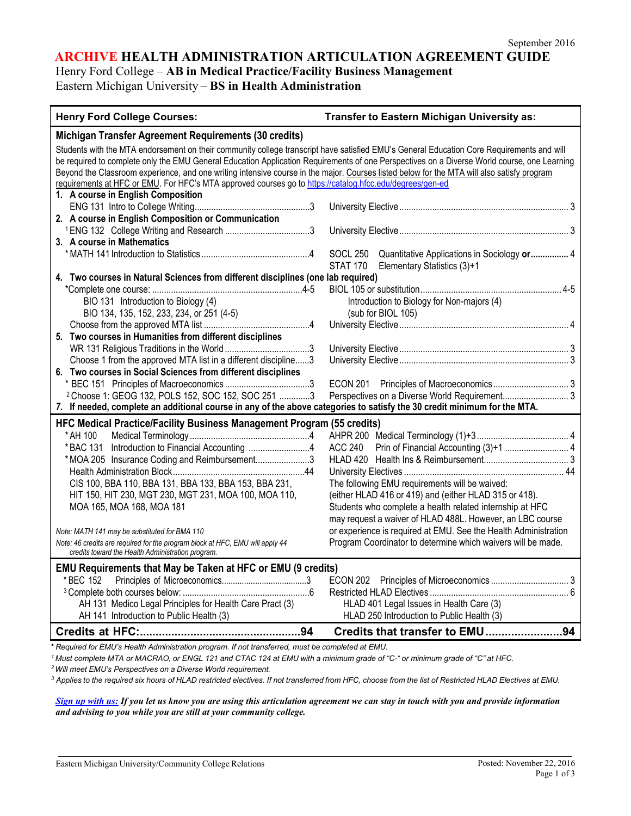### **ARCHIVE HEALTH ADMINISTRATION ARTICULATION AGREEMENT GUIDE**

Henry Ford College – **AB in Medical Practice/Facility Business Management**

Eastern Michigan University – **BS in Health Administration**

| <b>Henry Ford College Courses:</b>                                                                                                                                                                                                                                                                                                                                                                                                                                                                                                                                                                              | Transfer to Eastern Michigan University as:                                                                                                                                                                                                                                                                                                                          |
|-----------------------------------------------------------------------------------------------------------------------------------------------------------------------------------------------------------------------------------------------------------------------------------------------------------------------------------------------------------------------------------------------------------------------------------------------------------------------------------------------------------------------------------------------------------------------------------------------------------------|----------------------------------------------------------------------------------------------------------------------------------------------------------------------------------------------------------------------------------------------------------------------------------------------------------------------------------------------------------------------|
| Michigan Transfer Agreement Requirements (30 credits)                                                                                                                                                                                                                                                                                                                                                                                                                                                                                                                                                           |                                                                                                                                                                                                                                                                                                                                                                      |
| Students with the MTA endorsement on their community college transcript have satisfied EMU's General Education Core Requirements and will<br>be required to complete only the EMU General Education Application Requirements of one Perspectives on a Diverse World course, one Learning<br>Beyond the Classroom experience, and one writing intensive course in the major. Courses listed below for the MTA will also satisfy program<br>requirements at HFC or EMU. For HFC's MTA approved courses go to https://catalog.hfcc.edu/degrees/gen-ed                                                              |                                                                                                                                                                                                                                                                                                                                                                      |
| 1. A course in English Composition                                                                                                                                                                                                                                                                                                                                                                                                                                                                                                                                                                              |                                                                                                                                                                                                                                                                                                                                                                      |
| 2. A course in English Composition or Communication                                                                                                                                                                                                                                                                                                                                                                                                                                                                                                                                                             |                                                                                                                                                                                                                                                                                                                                                                      |
|                                                                                                                                                                                                                                                                                                                                                                                                                                                                                                                                                                                                                 |                                                                                                                                                                                                                                                                                                                                                                      |
| 3. A course in Mathematics                                                                                                                                                                                                                                                                                                                                                                                                                                                                                                                                                                                      |                                                                                                                                                                                                                                                                                                                                                                      |
|                                                                                                                                                                                                                                                                                                                                                                                                                                                                                                                                                                                                                 | SOCL 250 Quantitative Applications in Sociology or 4<br>Elementary Statistics (3)+1<br>STAT 170                                                                                                                                                                                                                                                                      |
| 4. Two courses in Natural Sciences from different disciplines (one lab required)                                                                                                                                                                                                                                                                                                                                                                                                                                                                                                                                |                                                                                                                                                                                                                                                                                                                                                                      |
|                                                                                                                                                                                                                                                                                                                                                                                                                                                                                                                                                                                                                 |                                                                                                                                                                                                                                                                                                                                                                      |
| BIO 131 Introduction to Biology (4)<br>BIO 134, 135, 152, 233, 234, or 251 (4-5)                                                                                                                                                                                                                                                                                                                                                                                                                                                                                                                                | Introduction to Biology for Non-majors (4)<br>(sub for BIOL 105)                                                                                                                                                                                                                                                                                                     |
|                                                                                                                                                                                                                                                                                                                                                                                                                                                                                                                                                                                                                 |                                                                                                                                                                                                                                                                                                                                                                      |
| 5. Two courses in Humanities from different disciplines                                                                                                                                                                                                                                                                                                                                                                                                                                                                                                                                                         |                                                                                                                                                                                                                                                                                                                                                                      |
|                                                                                                                                                                                                                                                                                                                                                                                                                                                                                                                                                                                                                 |                                                                                                                                                                                                                                                                                                                                                                      |
| Choose 1 from the approved MTA list in a different discipline3                                                                                                                                                                                                                                                                                                                                                                                                                                                                                                                                                  |                                                                                                                                                                                                                                                                                                                                                                      |
| 6. Two courses in Social Sciences from different disciplines                                                                                                                                                                                                                                                                                                                                                                                                                                                                                                                                                    |                                                                                                                                                                                                                                                                                                                                                                      |
|                                                                                                                                                                                                                                                                                                                                                                                                                                                                                                                                                                                                                 |                                                                                                                                                                                                                                                                                                                                                                      |
| <sup>2</sup> Choose 1: GEOG 132, POLS 152, SOC 152, SOC 251 3                                                                                                                                                                                                                                                                                                                                                                                                                                                                                                                                                   | Perspectives on a Diverse World Requirement 3                                                                                                                                                                                                                                                                                                                        |
| 7. If needed, complete an additional course in any of the above categories to satisfy the 30 credit minimum for the MTA.                                                                                                                                                                                                                                                                                                                                                                                                                                                                                        |                                                                                                                                                                                                                                                                                                                                                                      |
| HFC Medical Practice/Facility Business Management Program (55 credits)<br>* AH 100<br>*BAC 131 Introduction to Financial Accounting 4<br>*MOA 205 Insurance Coding and Reimbursement3<br>CIS 100, BBA 110, BBA 131, BBA 133, BBA 153, BBA 231,<br>HIT 150, HIT 230, MGT 230, MGT 231, MOA 100, MOA 110,<br>MOA 165, MOA 168, MOA 181<br>Note: MATH 141 may be substituted for BMA 110<br>Note: 46 credits are required for the program block at HFC, EMU will apply 44<br>credits toward the Health Administration program.<br><b>EMU Requirements that May be Taken at HFC or EMU (9 credits)</b><br>* BEC 152 | The following EMU requirements will be waived:<br>(either HLAD 416 or 419) and (either HLAD 315 or 418).<br>Students who complete a health related internship at HFC<br>may request a waiver of HLAD 488L. However, an LBC course<br>or experience is required at EMU. See the Health Administration<br>Program Coordinator to determine which waivers will be made. |
|                                                                                                                                                                                                                                                                                                                                                                                                                                                                                                                                                                                                                 |                                                                                                                                                                                                                                                                                                                                                                      |
| AH 131 Medico Legal Principles for Health Care Pract (3)                                                                                                                                                                                                                                                                                                                                                                                                                                                                                                                                                        | HLAD 401 Legal Issues in Health Care (3)                                                                                                                                                                                                                                                                                                                             |
| AH 141 Introduction to Public Health (3)                                                                                                                                                                                                                                                                                                                                                                                                                                                                                                                                                                        | HLAD 250 Introduction to Public Health (3)                                                                                                                                                                                                                                                                                                                           |
|                                                                                                                                                                                                                                                                                                                                                                                                                                                                                                                                                                                                                 | Credits that transfer to EMU94                                                                                                                                                                                                                                                                                                                                       |

**\*** *Required for EMU's Health Administration program. If not transferred, must be completed at EMU.*

<sup>1</sup> Must complete MTA or MACRAO, or ENGL 121 and CTAC 124 at EMU with a minimum grade of "C-" or minimum grade of "C" at HFC.

*2Will meet EMU's Perspectives on a Diverse World requirement.*

<sup>3</sup> Applies to the required six hours of HLAD restricted electives. If not transferred from HFC, choose from the list of Restricted HLAD Electives at EMU.

*[Sign up with us:](https://www.emich.edu/ccr/articulation-agreements/signup.php) If you let us know you are using this articulation agreement we can stay in touch with you and provide information and advising to you while you are still at your community college.*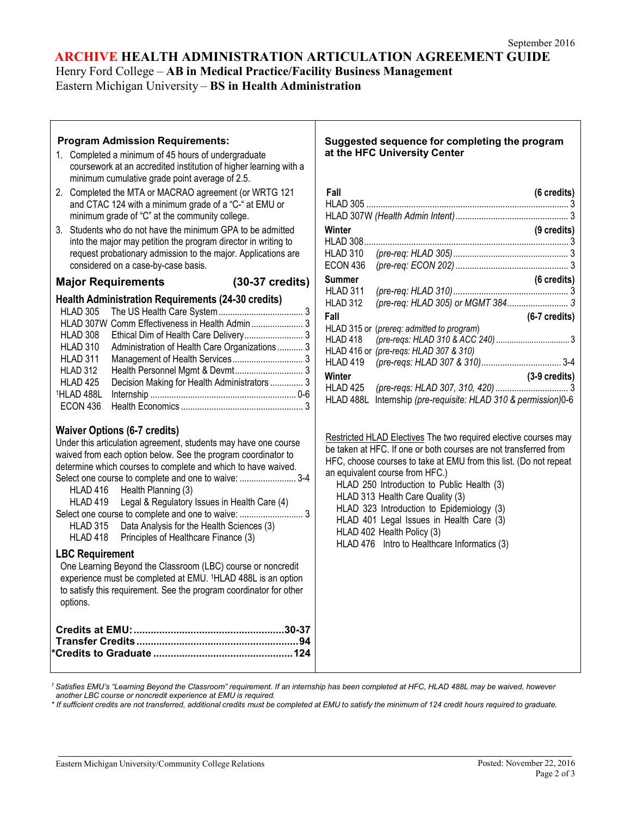## **ARCHIVE HEALTH ADMINISTRATION ARTICULATION AGREEMENT GUIDE**

Henry Ford College – **AB in Medical Practice/Facility Business Management** Eastern Michigan University – **BS in Health Administration**

| <b>Program Admission Requirements:</b><br>1. Completed a minimum of 45 hours of undergraduate<br>coursework at an accredited institution of higher learning with a<br>minimum cumulative grade point average of 2.5.<br>2. Completed the MTA or MACRAO agreement (or WRTG 121<br>and CTAC 124 with a minimum grade of a "C-" at EMU or<br>minimum grade of "C" at the community college.<br>3. Students who do not have the minimum GPA to be admitted<br>into the major may petition the program director in writing to<br>request probationary admission to the major. Applications are<br>considered on a case-by-case basis.                                                                                                                                    | Suggested sequence for completing the program<br>at the HFC University Center<br>Fall<br>(6 credits)<br>Winter<br>(9 credits)<br>HLAD 310<br><b>ECON 436</b>                                                                                                                                                                                                                                                                                                                                         |
|---------------------------------------------------------------------------------------------------------------------------------------------------------------------------------------------------------------------------------------------------------------------------------------------------------------------------------------------------------------------------------------------------------------------------------------------------------------------------------------------------------------------------------------------------------------------------------------------------------------------------------------------------------------------------------------------------------------------------------------------------------------------|------------------------------------------------------------------------------------------------------------------------------------------------------------------------------------------------------------------------------------------------------------------------------------------------------------------------------------------------------------------------------------------------------------------------------------------------------------------------------------------------------|
| Major Requirements (30-37 credits)                                                                                                                                                                                                                                                                                                                                                                                                                                                                                                                                                                                                                                                                                                                                  | <b>Summer</b><br>$(6 \text{ credits})$<br>HLAD 311                                                                                                                                                                                                                                                                                                                                                                                                                                                   |
| <b>Health Administration Requirements (24-30 credits)</b><br>HLAD 305<br>HLAD 307W Comm Effectiveness in Health Admin  3<br>HLAD 308<br>HLAD 310<br>Administration of Health Care Organizations 3<br><b>HLAD 311</b><br>HLAD 312<br>Decision Making for Health Administrators  3<br>HLAD 425<br>1HLAD 488L<br>ECON 436                                                                                                                                                                                                                                                                                                                                                                                                                                              | (pre-req: HLAD 305) or MGMT 384 3<br>HLAD 312<br>Fall<br>(6-7 credits)<br>HLAD 315 or (prereq: admitted to program)<br>HLAD 418<br>HLAD 416 or (pre-regs: HLAD 307 & 310)<br>HLAD 419<br>Winter<br>(3-9 credits)<br>HLAD 425<br>HLAD 488L Internship (pre-requisite: HLAD 310 & permission)0-6                                                                                                                                                                                                       |
| <b>Waiver Options (6-7 credits)</b><br>Under this articulation agreement, students may have one course<br>waived from each option below. See the program coordinator to<br>determine which courses to complete and which to have waived.<br>Select one course to complete and one to waive:  3-4<br>HLAD 416<br>Health Planning (3)<br>Legal & Regulatory Issues in Health Care (4)<br>HLAD 419<br>HLAD 315<br>Data Analysis for the Health Sciences (3)<br>HLAD 418<br>Principles of Healthcare Finance (3)<br><b>LBC Requirement</b><br>One Learning Beyond the Classroom (LBC) course or noncredit<br>experience must be completed at EMU. <sup>1</sup> HLAD 488L is an option<br>to satisfy this requirement. See the program coordinator for other<br>options. | Restricted HLAD Electives The two required elective courses may<br>be taken at HFC. If one or both courses are not transferred from<br>HFC, choose courses to take at EMU from this list. (Do not repeat<br>an equivalent course from HFC.)<br>HLAD 250 Introduction to Public Health (3)<br>HLAD 313 Health Care Quality (3)<br>HLAD 323 Introduction to Epidemiology (3)<br>HLAD 401 Legal Issues in Health Care (3)<br>HLAD 402 Health Policy (3)<br>HLAD 476 Intro to Healthcare Informatics (3) |
|                                                                                                                                                                                                                                                                                                                                                                                                                                                                                                                                                                                                                                                                                                                                                                     |                                                                                                                                                                                                                                                                                                                                                                                                                                                                                                      |

*1 Satisfies EMU's "Learning Beyond the Classroom" requirement. If an internship has been completed at HFC, HLAD 488L may be waived, however another LBC course or noncredit experience at EMU is required.*

\* If sufficient credits are not transferred, additional credits must be completed at EMU to satisfy the minimum of 124 credit hours required to graduate.